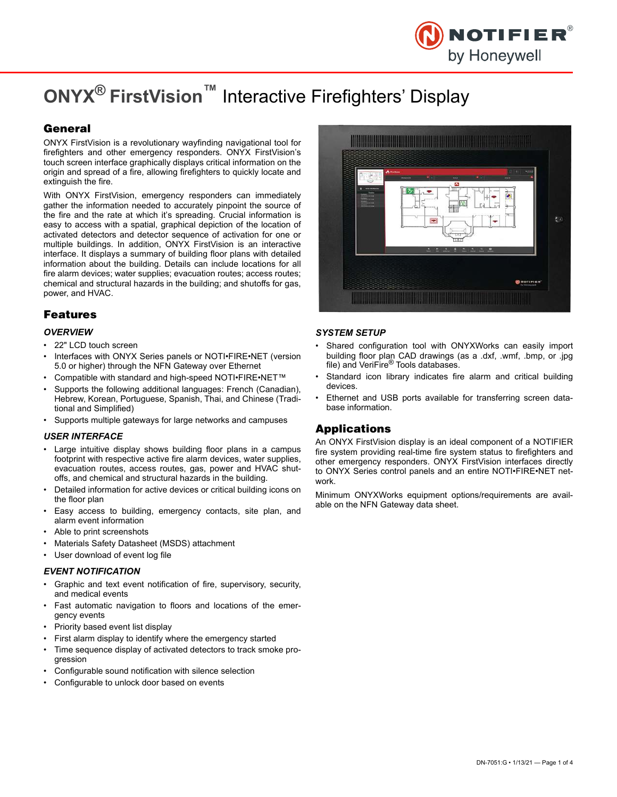

# **ONYX® FirstVision™** Interactive Firefighters' Display

# General

ONYX FirstVision is a revolutionary wayfinding navigational tool for firefighters and other emergency responders. ONYX FirstVision's touch screen interface graphically displays critical information on the origin and spread of a fire, allowing firefighters to quickly locate and extinguish the fire.

With ONYX FirstVision, emergency responders can immediately gather the information needed to accurately pinpoint the source of the fire and the rate at which it's spreading. Crucial information is easy to access with a spatial, graphical depiction of the location of activated detectors and detector sequence of activation for one or multiple buildings. In addition, ONYX FirstVision is an interactive interface. It displays a summary of building floor plans with detailed information about the building. Details can include locations for all fire alarm devices; water supplies; evacuation routes; access routes; chemical and structural hazards in the building; and shutoffs for gas, power, and HVAC.

# Features

## *OVERVIEW*

- 22" LCD touch screen
- Interfaces with ONYX Series panels or NOTI.FIRE.NET (version 5.0 or higher) through the NFN Gateway over Ethernet
- Compatible with standard and high-speed NOTI•FIRE•NET™
- Supports the following additional languages: French (Canadian), Hebrew, Korean, Portuguese, Spanish, Thai, and Chinese (Traditional and Simplified)
- Supports multiple gateways for large networks and campuses

## *USER INTERFACE*

- Large intuitive display shows building floor plans in a campus footprint with respective active fire alarm devices, water supplies, evacuation routes, access routes, gas, power and HVAC shutoffs, and chemical and structural hazards in the building.
- Detailed information for active devices or critical building icons on the floor plan
- Easy access to building, emergency contacts, site plan, and alarm event information
- Able to print screenshots
- Materials Safety Datasheet (MSDS) attachment
- User download of event log file

#### *EVENT NOTIFICATION*

- Graphic and text event notification of fire, supervisory, security, and medical events
- Fast automatic navigation to floors and locations of the emergency events
- Priority based event list display
- First alarm display to identify where the emergency started
- Time sequence display of activated detectors to track smoke progression
- Configurable sound notification with silence selection
- Configurable to unlock door based on events



#### *SYSTEM SETUP*

- Shared configuration tool with ONYXWorks can easily import building floor plan CAD drawings (as a .dxf, .wmf, .bmp, or .jpg file) and VeriFire<sup>®</sup> Tools databases.
- Standard icon library indicates fire alarm and critical building devices.
- Ethernet and USB ports available for transferring screen database information.

# Applications

An ONYX FirstVision display is an ideal component of a NOTIFIER fire system providing real-time fire system status to firefighters and other emergency responders. ONYX FirstVision interfaces directly to ONYX Series control panels and an entire NOTI. FIRE. NET network.

Minimum ONYXWorks equipment options/requirements are available on the NFN Gateway data sheet.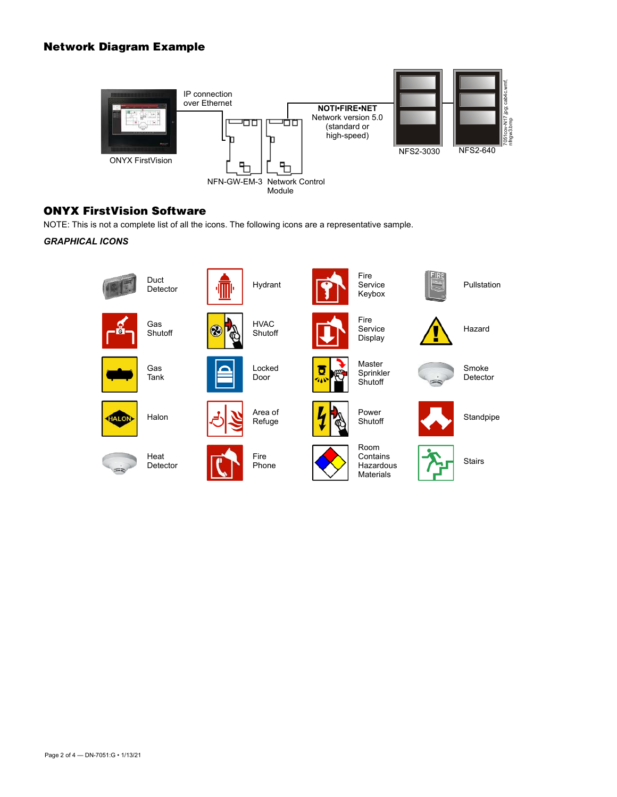# Network Diagram Example



# ONYX FirstVision Software

NOTE: This is not a complete list of all the icons. The following icons are a representative sample.

Duct  $D$ uctor  $\left| \sqrt{\frac{1}{m}} \right|$ , Hydrant

 $\Omega$ 

## *GRAPHICAL ICONS*











Halon **Area of** Refuge







Master



Shutoff

Fire Service Keybox

Fire Service Display



Power

Room Contains **Hazardous** Materials





**Pullstation** 

Smoke Detector





Stairs

Heat Detector







HVAC

Door



Page 2 of  $4 - DN-7051:G \cdot 1/13/21$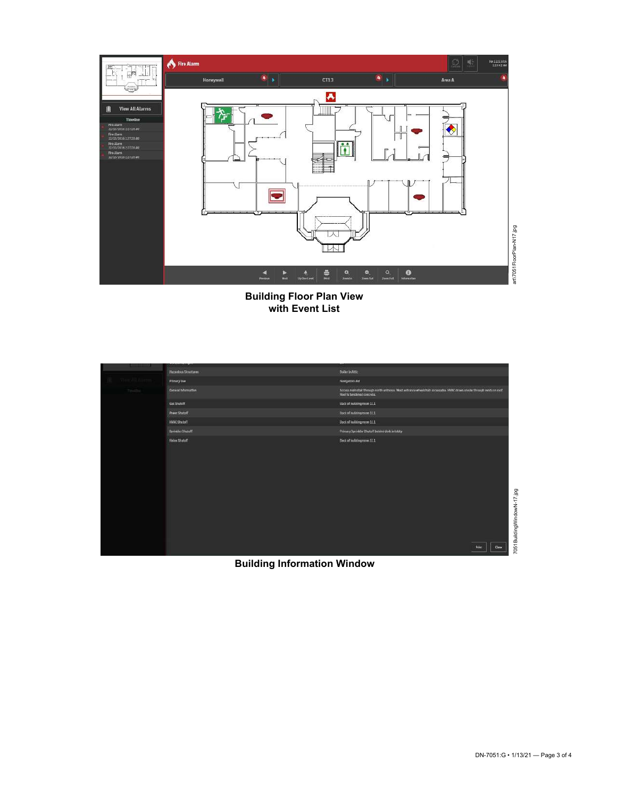

**Building Floor Plan View with Event List**

|                 | Razardous Structures | Boiler in Attic                                                                                                                                    |
|-----------------|----------------------|----------------------------------------------------------------------------------------------------------------------------------------------------|
| hom All Alles   | <b>Primary Lise</b>  | Navigation Aid                                                                                                                                     |
| <b>Timeline</b> | Ceneral Information  | Access main stair through meth entrance. West entrance wheelchair accessable. HAAC craws smoke through weds on mot.<br>Hoof is tonsionad concrete. |
|                 | <b>Bas Shutoff</b>   | Back of building room 111                                                                                                                          |
|                 | Power Shutuff        | Back of building room 111                                                                                                                          |
|                 | HWAC Shutoff         | Back of building room 111                                                                                                                          |
|                 | Sprinkler Shutoff    | Primary Sprinkler Shutoff behind deek in lobby                                                                                                     |
|                 | Haion Shutoff        | Beck of building room 111<br>7051BuildingWindowN-17.jpg<br>:Prist<br>Close                                                                         |

**Building Information Window**